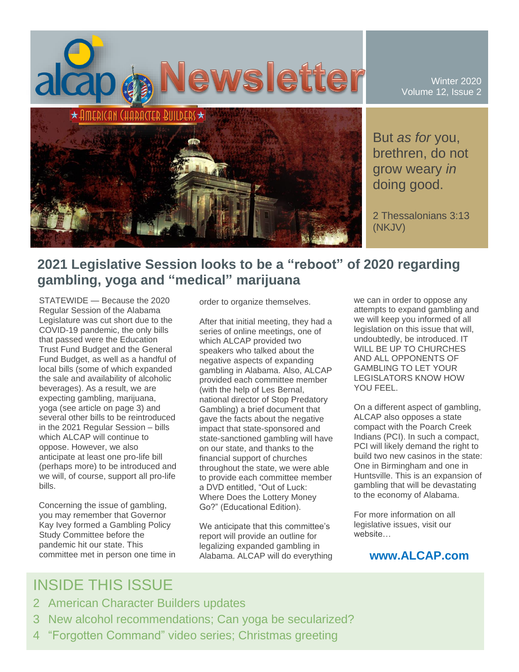

Winter 2020 Volume 12, Issue 2

But *as for* you, brethren, do not grow weary *in* doing good.

2 Thessalonians 3:13 (NKJV)

## **2021 Legislative Session looks to be a "reboot" of 2020 regarding gambling, yoga and "medical" marijuana**

STATEWIDE — Because the 2020 Regular Session of the Alabama Legislature was cut short due to the COVID-19 pandemic, the only bills that passed were the Education Trust Fund Budget and the General Fund Budget, as well as a handful of local bills (some of which expanded the sale and availability of alcoholic beverages). As a result, we are expecting gambling, marijuana, yoga (see article on page 3) and several other bills to be reintroduced in the 2021 Regular Session – bills which ALCAP will continue to oppose. However, we also anticipate at least one pro-life bill (perhaps more) to be introduced and we will, of course, support all pro-life bills.

Concerning the issue of gambling, you may remember that Governor Kay Ivey formed a Gambling Policy Study Committee before the pandemic hit our state. This committee met in person one time in order to organize themselves.

After that initial meeting, they had a series of online meetings, one of which ALCAP provided two speakers who talked about the negative aspects of expanding gambling in Alabama. Also, ALCAP provided each committee member (with the help of Les Bernal, national director of Stop Predatory Gambling) a brief document that gave the facts about the negative impact that state-sponsored and state-sanctioned gambling will have on our state, and thanks to the financial support of churches throughout the state, we were able to provide each committee member a DVD entitled, "Out of Luck: Where Does the Lottery Money Go?" (Educational Edition).

We anticipate that this committee's report will provide an outline for legalizing expanded gambling in Alabama. ALCAP will do everything

we can in order to oppose any attempts to expand gambling and we will keep you informed of all legislation on this issue that will, undoubtedly, be introduced. IT WILL BE UP TO CHURCHES AND ALL OPPONENTS OF GAMBLING TO LET YOUR LEGISLATORS KNOW HOW YOU FEEL.

On a different aspect of gambling, ALCAP also opposes a state compact with the Poarch Creek Indians (PCI). In such a compact, PCI will likely demand the right to build two new casinos in the state: One in Birmingham and one in Huntsville. This is an expansion of gambling that will be devastating to the economy of Alabama.

For more information on all legislative issues, visit our website…

### **www.ALCAP.com**

## INSIDE THIS ISSUE

- 2 American Character Builders updates
- 3 New alcohol recommendations; Can yoga be secularized?
- 4 "Forgotten Command" video series; Christmas greeting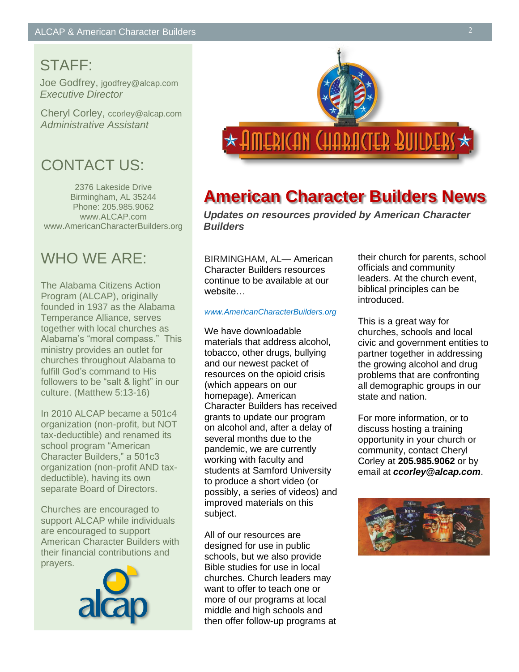## STAFF:

Joe Godfrey, jgodfrey@alcap.com *Executive Director*

Cheryl Corley, ccorley@alcap.com *Administrative Assistant*

## CONTACT US:

2376 Lakeside Drive Birmingham, AL 35244 Phone: 205.985.9062 www.ALCAP.com www.AmericanCharacterBuilders.org

## WHO WE ARE:

The Alabama Citizens Action Program (ALCAP), originally founded in 1937 as the Alabama Temperance Alliance, serves together with local churches as Alabama's "moral compass." This ministry provides an outlet for churches throughout Alabama to fulfill God's command to His followers to be "salt & light" in our culture. (Matthew 5:13-16)

In 2010 ALCAP became a 501c4 organization (non-profit, but NOT tax-deductible) and renamed its school program "American Character Builders," a 501c3 organization (non-profit AND taxdeductible), having its own separate Board of Directors.

Churches are encouraged to support ALCAP while individuals are encouraged to support American Character Builders with their financial contributions and prayers.





# **American Character Builders News**

*Updates on resources provided by American Character Builders*

BIRMINGHAM, AL— American Character Builders resources continue to be available at our website…

#### *www.AmericanCharacterBuilders.org*

We have downloadable materials that address alcohol, tobacco, other drugs, bullying and our newest packet of resources on the opioid crisis (which appears on our homepage). American Character Builders has received grants to update our program on alcohol and, after a delay of several months due to the pandemic, we are currently working with faculty and students at Samford University to produce a short video (or possibly, a series of videos) and improved materials on this subject.

All of our resources are designed for use in public schools, but we also provide Bible studies for use in local churches. Church leaders may want to offer to teach one or more of our programs at local middle and high schools and then offer follow-up programs at

their church for parents, school officials and community leaders. At the church event, biblical principles can be introduced.

This is a great way for churches, schools and local civic and government entities to partner together in addressing the growing alcohol and drug problems that are confronting all demographic groups in our state and nation.

For more information, or to discuss hosting a training opportunity in your church or community, contact Cheryl Corley at **205.985.9062** or by email at *ccorley@alcap.com*.

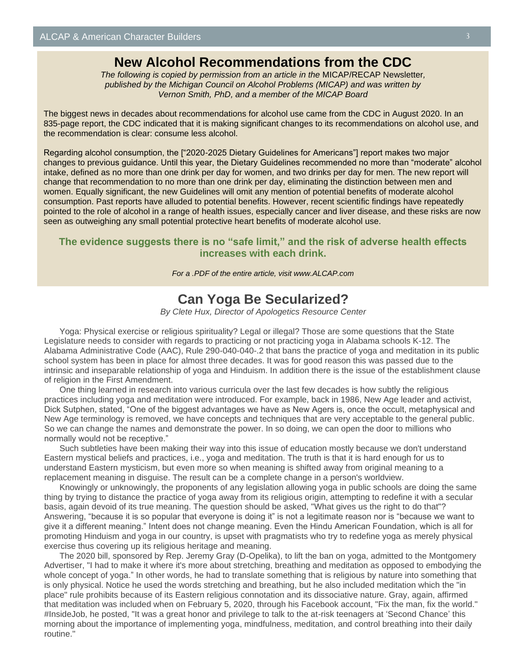## **New Alcohol Recommendations from the CDC**

*The following is copied by permission from an article in the* MICAP/RECAP Newsletter*, published by the Michigan Council on Alcohol Problems (MICAP) and was written by Vernon Smith, PhD, and a member of the MICAP Board*

The biggest news in decades about recommendations for alcohol use came from the CDC in August 2020. In an 835-page report, the CDC indicated that it is making significant changes to its recommendations on alcohol use, and the recommendation is clear: consume less alcohol.

Regarding alcohol consumption, the ["2020-2025 Dietary Guidelines for Americans"] report makes two major changes to previous guidance. Until this year, the Dietary Guidelines recommended no more than "moderate" alcohol intake, defined as no more than one drink per day for women, and two drinks per day for men. The new report will change that recommendation to no more than one drink per day, eliminating the distinction between men and women. Equally significant, the new Guidelines will omit any mention of potential benefits of moderate alcohol consumption. Past reports have alluded to potential benefits. However, recent scientific findings have repeatedly pointed to the role of alcohol in a range of health issues, especially cancer and liver disease, and these risks are now seen as outweighing any small potential protective heart benefits of moderate alcohol use.

### **The evidence suggests there is no "safe limit," and the risk of adverse health effects increases with each drink.**

*For a .PDF of the entire article, visit www.ALCAP.com*

### **Can Yoga Be Secularized?**

*By Clete Hux, Director of Apologetics Resource Center*

Yoga: Physical exercise or religious spirituality? Legal or illegal? Those are some questions that the State Legislature needs to consider with regards to practicing or not practicing yoga in Alabama schools K-12. The Alabama Administrative Code (AAC), Rule 290-040-040-.2 that bans the practice of yoga and meditation in its public school system has been in place for almost three decades. It was for good reason this was passed due to the intrinsic and inseparable relationship of yoga and Hinduism. In addition there is the issue of the establishment clause of religion in the First Amendment.

One thing learned in research into various curricula over the last few decades is how subtly the religious practices including yoga and meditation were introduced. For example, back in 1986, New Age leader and activist, Dick Sutphen, stated, "One of the biggest advantages we have as New Agers is, once the occult, metaphysical and New Age terminology is removed, we have concepts and techniques that are very acceptable to the general public. So we can change the names and demonstrate the power. In so doing, we can open the door to millions who normally would not be receptive."

Such subtleties have been making their way into this issue of education mostly because we don't understand Eastern mystical beliefs and practices, i.e., yoga and meditation. The truth is that it is hard enough for us to understand Eastern mysticism, but even more so when meaning is shifted away from original meaning to a replacement meaning in disguise. The result can be a complete change in a person's worldview.

Knowingly or unknowingly, the proponents of any legislation allowing yoga in public schools are doing the same thing by trying to distance the practice of yoga away from its religious origin, attempting to redefine it with a secular basis, again devoid of its true meaning. The question should be asked, "What gives us the right to do that"? Answering, "because it is so popular that everyone is doing it" is not a legitimate reason nor is "because we want to give it a different meaning." Intent does not change meaning. Even the Hindu American Foundation, which is all for promoting Hinduism and yoga in our country, is upset with pragmatists who try to redefine yoga as merely physical exercise thus covering up its religious heritage and meaning.

The 2020 bill, sponsored by Rep. Jeremy Gray (D-Opelika), to lift the ban on yoga, admitted to the Montgomery Advertiser, "I had to make it where it's more about stretching, breathing and meditation as opposed to embodying the whole concept of yoga." In other words, he had to translate something that is religious by nature into something that is only physical. Notice he used the words stretching and breathing, but he also included meditation which the "in place" rule prohibits because of its Eastern religious connotation and its dissociative nature. Gray, again, affirmed that meditation was included when on February 5, 2020, through his Facebook account, "Fix the man, fix the world." #InsideJob, he posted, "It was a great honor and privilege to talk to the at-risk teenagers at 'Second Chance' this morning about the importance of implementing yoga, mindfulness, meditation, and control breathing into their daily routine."